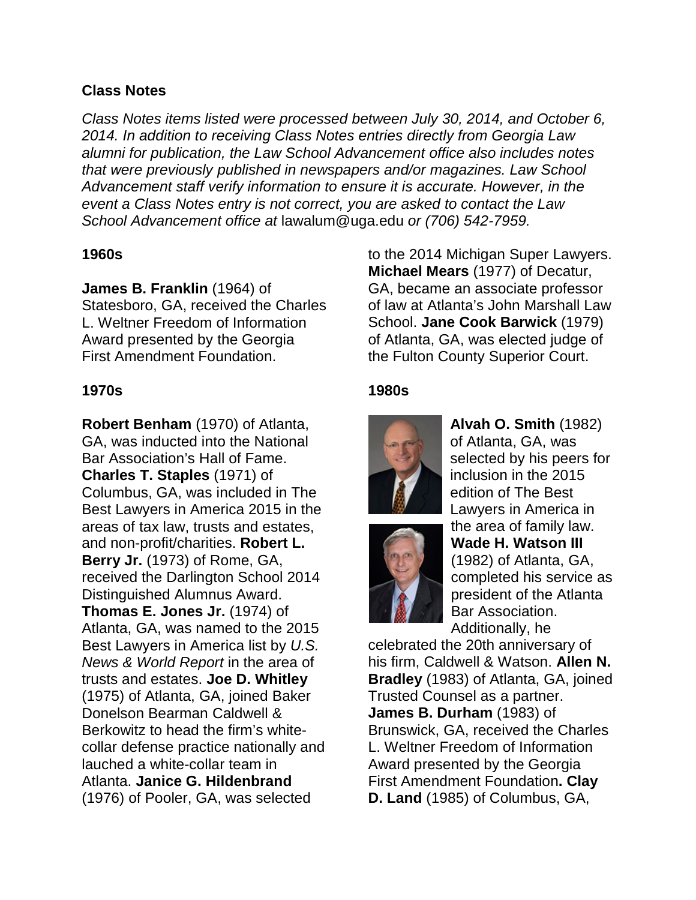## **Class Notes**

*Class Notes items listed were processed between July 30, 2014, and October 6, 2014. In addition to receiving Class Notes entries directly from Georgia Law alumni for publication, the Law School Advancement office also includes notes that were previously published in newspapers and/or magazines. Law School Advancement staff verify information to ensure it is accurate. However, in the event a Class Notes entry is not correct, you are asked to contact the Law School Advancement office at* lawalum@uga.edu *or (706) 542-7959.*

#### **1960s**

**James B. Franklin** (1964) of

Statesboro, GA, received the Charles L. Weltner Freedom of Information Award presented by the Georgia First Amendment Foundation.

# **1970s**

**Robert Benham** (1970) of Atlanta, GA, was inducted into the National Bar Association's Hall of Fame. **Charles T. Staples** (1971) of Columbus, GA, was included in The Best Lawyers in America 2015 in the areas of tax law, trusts and estates, and non-profit/charities. **Robert L. Berry Jr.** (1973) of Rome, GA, received the Darlington School 2014 Distinguished Alumnus Award. **Thomas E. Jones Jr.** (1974) of Atlanta, GA, was named to the 2015 Best Lawyers in America list by *U.S. News & World Report* in the area of trusts and estates. **Joe D. Whitley** (1975) of Atlanta, GA, joined Baker Donelson Bearman Caldwell & Berkowitz to head the firm's whitecollar defense practice nationally and lauched a white-collar team in Atlanta. **Janice G. Hildenbrand** (1976) of Pooler, GA, was selected

to the 2014 Michigan Super Lawyers. **Michael Mears** (1977) of Decatur, GA, became an associate professor of law at Atlanta's John Marshall Law School. **Jane Cook Barwick** (1979) of Atlanta, GA, was elected judge of the Fulton County Superior Court.

# **1980s**





**Alvah O. Smith** (1982) of Atlanta, GA, was selected by his peers for inclusion in the 2015 edition of The Best Lawyers in America in the area of family law. **Wade H. Watson III**  (1982) of Atlanta, GA, completed his service as president of the Atlanta Bar Association. Additionally, he

celebrated the 20th anniversary of his firm, Caldwell & Watson. **Allen N. Bradley** (1983) of Atlanta, GA, joined Trusted Counsel as a partner. **James B. Durham** (1983) of Brunswick, GA, received the Charles L. Weltner Freedom of Information Award presented by the Georgia First Amendment Foundation**. Clay D. Land** (1985) of Columbus, GA,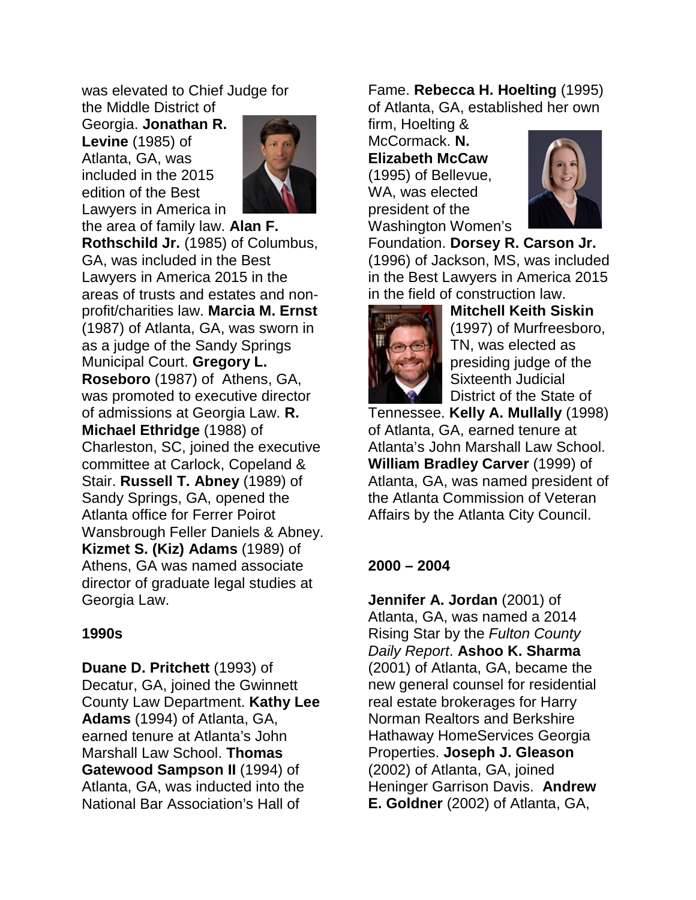was elevated to Chief Judge for the Middle District of

Georgia. **Jonathan R. Levine** (1985) of Atlanta, GA, was included in the 2015 edition of the Best Lawyers in America in



the area of family law. **Alan F. Rothschild Jr.** (1985) of Columbus, GA, was included in the Best Lawyers in America 2015 in the areas of trusts and estates and nonprofit/charities law. **Marcia M. Ernst** (1987) of Atlanta, GA, was sworn in as a judge of the Sandy Springs Municipal Court. **Gregory L. Roseboro** (1987) of Athens, GA, was promoted to executive director of admissions at Georgia Law. **R. Michael Ethridge** (1988) of Charleston, SC, joined the executive committee at Carlock, Copeland & Stair. **Russell T. Abney** (1989) of Sandy Springs, GA, opened the Atlanta office for Ferrer Poirot Wansbrough Feller Daniels & Abney. **Kizmet S. (Kiz) Adams** (1989) of Athens, GA was named associate director of graduate legal studies at Georgia Law.

#### **1990s**

**Duane D. Pritchett** (1993) of Decatur, GA, joined the Gwinnett County Law Department. **Kathy Lee Adams** (1994) of Atlanta, GA, earned tenure at Atlanta's John Marshall Law School. **Thomas Gatewood Sampson II** (1994) of Atlanta, GA, was inducted into the National Bar Association's Hall of

Fame. **Rebecca H. Hoelting** (1995) of Atlanta, GA, established her own

firm, Hoelting & McCormack. **N. Elizabeth McCaw** (1995) of Bellevue, WA, was elected president of the Washington Women's



Foundation. **Dorsey R. Carson Jr.** (1996) of Jackson, MS, was included in the Best Lawyers in America 2015 in the field of construction law.



**Mitchell Keith Siskin** (1997) of Murfreesboro, TN, was elected as presiding judge of the Sixteenth Judicial District of the State of

Tennessee. **Kelly A. Mullally** (1998) of Atlanta, GA, earned tenure at Atlanta's John Marshall Law School. **William Bradley Carver** (1999) of Atlanta, GA, was named president of the Atlanta Commission of Veteran Affairs by the Atlanta City Council.

# **2000 – 2004**

**Jennifer A. Jordan** (2001) of Atlanta, GA, was named a 2014 Rising Star by the *Fulton County Daily Report*. **Ashoo K. Sharma** (2001) of Atlanta, GA, became the new general counsel for residential real estate brokerages for Harry Norman Realtors and Berkshire Hathaway HomeServices Georgia Properties. **Joseph J. Gleason** (2002) of Atlanta, GA, joined Heninger Garrison Davis. **Andrew E. Goldner** (2002) of Atlanta, GA,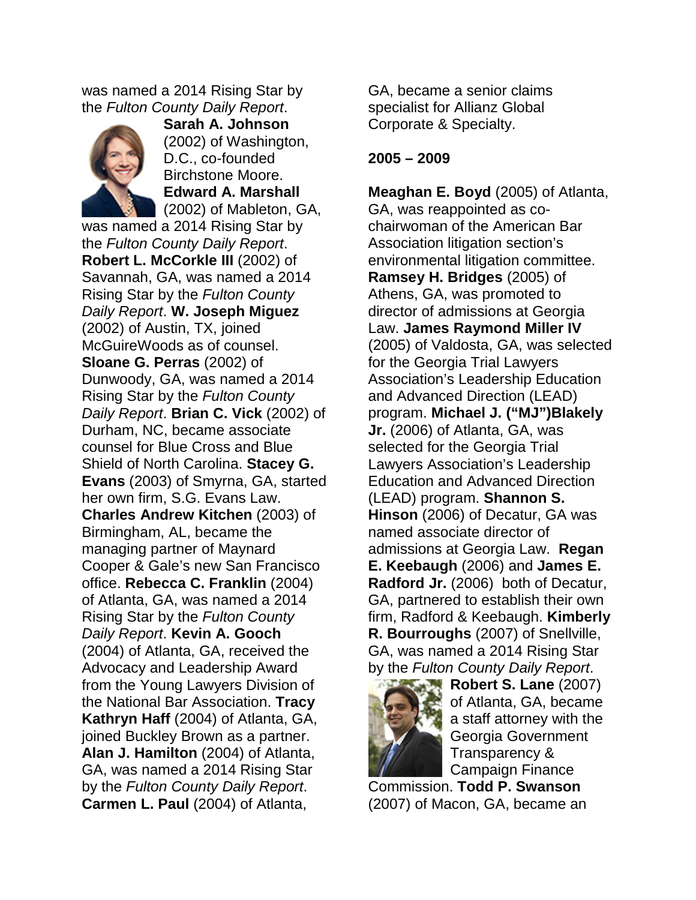was named a 2014 Rising Star by the *Fulton County Daily Report*.



**Sarah A. Johnson**  (2002) of Washington, D.C., co-founded Birchstone Moore. **Edward A. Marshall** (2002) of Mableton, GA,

was named a 2014 Rising Star by the *Fulton County Daily Report*. **Robert L. McCorkle III** (2002) of Savannah, GA, was named a 2014 Rising Star by the *Fulton County Daily Report*. **W. Joseph Miguez** (2002) of Austin, TX, joined McGuireWoods as of counsel. **Sloane G. Perras** (2002) of Dunwoody, GA, was named a 2014 Rising Star by the *Fulton County Daily Report*. **Brian C. Vick** (2002) of Durham, NC, became associate counsel for Blue Cross and Blue Shield of North Carolina. **Stacey G. Evans** (2003) of Smyrna, GA, started her own firm, S.G. Evans Law. **Charles Andrew Kitchen** (2003) of Birmingham, AL, became the managing partner of Maynard Cooper & Gale's new San Francisco office. **Rebecca C. Franklin** (2004) of Atlanta, GA, was named a 2014 Rising Star by the *Fulton County Daily Report*. **Kevin A. Gooch** (2004) of Atlanta, GA, received the Advocacy and Leadership Award from the Young Lawyers Division of the National Bar Association. **Tracy Kathryn Haff** (2004) of Atlanta, GA, joined Buckley Brown as a partner. **Alan J. Hamilton** (2004) of Atlanta, GA, was named a 2014 Rising Star by the *Fulton County Daily Report*. **Carmen L. Paul** (2004) of Atlanta,

GA, became a senior claims specialist for Allianz Global Corporate & Specialty.

## **2005 – 2009**

**Meaghan E. Boyd** (2005) of Atlanta, GA, was reappointed as cochairwoman of the American Bar Association litigation section's environmental litigation committee. **Ramsey H. Bridges** (2005) of Athens, GA, was promoted to director of admissions at Georgia Law. **James Raymond Miller IV** (2005) of Valdosta, GA, was selected for the Georgia Trial Lawyers Association's Leadership Education and Advanced Direction (LEAD) program. **Michael J. ("MJ")Blakely Jr.** (2006) of Atlanta, GA, was selected for the Georgia Trial Lawyers Association's Leadership Education and Advanced Direction (LEAD) program. **Shannon S. Hinson** (2006) of Decatur, GA was named associate director of admissions at Georgia Law. **Regan E. Keebaugh** (2006) and **James E. Radford Jr.** (2006) both of Decatur, GA, partnered to establish their own firm, Radford & Keebaugh. **Kimberly R. Bourroughs** (2007) of Snellville, GA, was named a 2014 Rising Star by the *Fulton County Daily Report*.



**Robert S. Lane** (2007) of Atlanta, GA, became a staff attorney with the Georgia Government Transparency & Campaign Finance

Commission. **Todd P. Swanson** (2007) of Macon, GA, became an